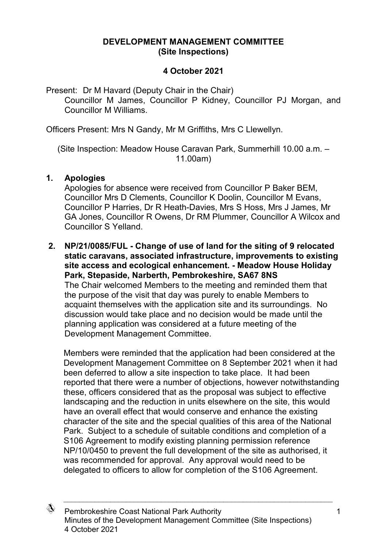## **DEVELOPMENT MANAGEMENT COMMITTEE (Site Inspections)**

## **4 October 2021**

Present: Dr M Havard (Deputy Chair in the Chair) Councillor M James, Councillor P Kidney, Councillor PJ Morgan, and Councillor M Williams.

Officers Present: Mrs N Gandy, Mr M Griffiths, Mrs C Llewellyn.

(Site Inspection: Meadow House Caravan Park, Summerhill 10.00 a.m. – 11.00am)

## **1. Apologies**

Apologies for absence were received from Councillor P Baker BEM, Councillor Mrs D Clements, Councillor K Doolin, Councillor M Evans, Councillor P Harries, Dr R Heath-Davies, Mrs S Hoss, Mrs J James, Mr GA Jones, Councillor R Owens, Dr RM Plummer, Councillor A Wilcox and Councillor S Yelland.

**2. NP/21/0085/FUL - Change of use of land for the siting of 9 relocated static caravans, associated infrastructure, improvements to existing site access and ecological enhancement. - Meadow House Holiday Park, Stepaside, Narberth, Pembrokeshire, SA67 8NS** The Chair welcomed Members to the meeting and reminded them that the purpose of the visit that day was purely to enable Members to acquaint themselves with the application site and its surroundings. No discussion would take place and no decision would be made until the planning application was considered at a future meeting of the Development Management Committee.

Members were reminded that the application had been considered at the Development Management Committee on 8 September 2021 when it had been deferred to allow a site inspection to take place. It had been reported that there were a number of objections, however notwithstanding these, officers considered that as the proposal was subject to effective landscaping and the reduction in units elsewhere on the site, this would have an overall effect that would conserve and enhance the existing character of the site and the special qualities of this area of the National Park. Subject to a schedule of suitable conditions and completion of a S106 Agreement to modify existing planning permission reference NP/10/0450 to prevent the full development of the site as authorised, it was recommended for approval. Any approval would need to be delegated to officers to allow for completion of the S106 Agreement.



Pembrokeshire Coast National Park Authority 1 Minutes of the Development Management Committee (Site Inspections) 4 October 2021